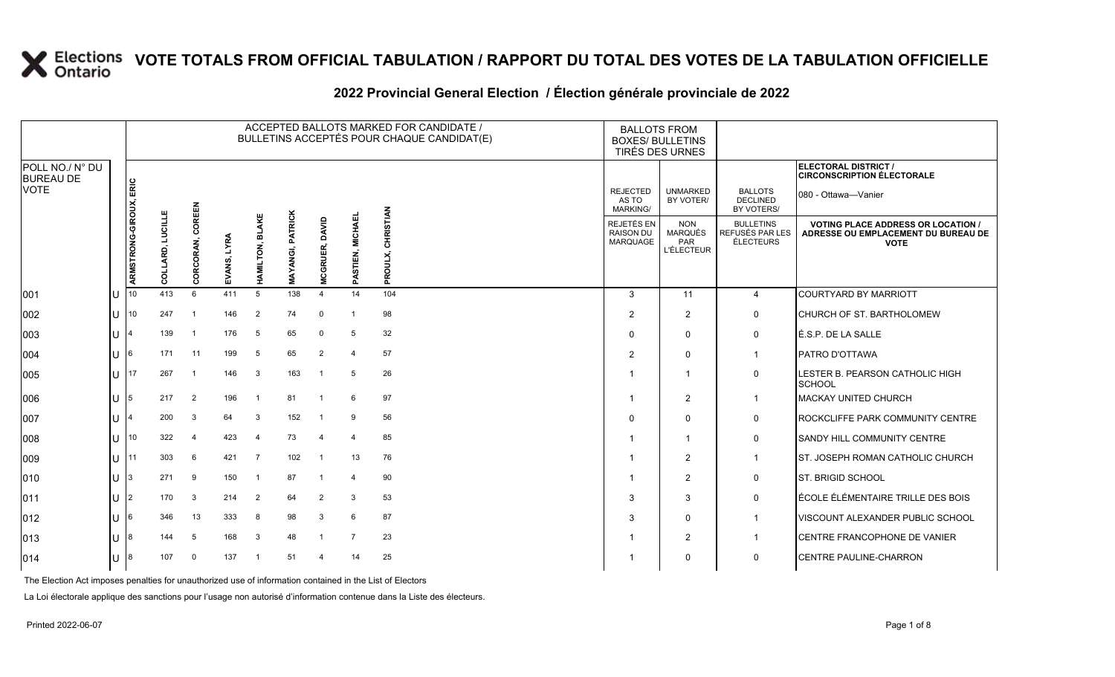#### **2022 Provincial General Election / Élection générale provinciale de 2022**

|                                     |     | ACCEPTED BALLOTS MARKED FOR CANDIDATE /<br>BULLETINS ACCEPTÉS POUR CHAQUE CANDIDAT(E) |                               |                  |             |                       |                                 |                        |                         |                      |  | <b>BALLOTS FROM</b><br><b>BOXES/ BULLETINS</b><br>TIRÉS DES URNES |                                                          |                                                         |                                                                                                 |
|-------------------------------------|-----|---------------------------------------------------------------------------------------|-------------------------------|------------------|-------------|-----------------------|---------------------------------|------------------------|-------------------------|----------------------|--|-------------------------------------------------------------------|----------------------------------------------------------|---------------------------------------------------------|-------------------------------------------------------------------------------------------------|
| POLL NO./ N° DU<br><b>BUREAU DE</b> |     |                                                                                       |                               |                  |             |                       |                                 |                        |                         |                      |  |                                                                   |                                                          |                                                         | ELECTORAL DISTRICT /<br><b>CIRCONSCRIPTION ÉLECTORALE</b>                                       |
| <b>VOTE</b>                         |     |                                                                                       |                               |                  |             |                       |                                 |                        |                         |                      |  | <b>REJECTED</b><br>AS TO<br><b>MARKING/</b>                       | <b>UNMARKED</b><br>BY VOTER/                             | <b>BALLOTS</b><br><b>DECLINED</b><br>BY VOTERS/         | 080 - Ottawa-Vanier                                                                             |
|                                     |     | ARMSTRONG-GIROUX, ERIC                                                                | <b>LUCILLE</b><br>LARD,<br>uo | CORCORAN, COREEN | EVANS, LYRA | <b>HAMILTON, BLAK</b> | <b>PATRICK</b><br>ANGI,<br>MAY. | GRUER, DAVID<br>ō<br>ž | <b>PASTIEN, MICHAEL</b> | CHRISTIAN<br>PROULX, |  | REJETÉS EN<br><b>RAISON DU</b><br>MARQUAGE                        | <b>NON</b><br><b>MARQUÉS</b><br>PAR<br><b>L'ÉLECTEUR</b> | <b>BULLETINS</b><br>REFUSÉS PAR LES<br><b>ÉLECTEURS</b> | <b>VOTING PLACE ADDRESS OR LOCATION /</b><br>ADRESSE OU EMPLACEMENT DU BUREAU DE<br><b>VOTE</b> |
| 001                                 | lu  | 10                                                                                    | 413                           | 6                | 411         | $5\overline{5}$       | 138                             | $\overline{4}$         | 14                      | 104                  |  | 3                                                                 | 11                                                       | $\overline{4}$                                          | <b>COURTYARD BY MARRIOTT</b>                                                                    |
| 002                                 | lu  | 10                                                                                    | 247                           | $\overline{1}$   | 146         | $\overline{2}$        | 74                              | $\mathbf 0$            | $\mathbf{1}$            | 98                   |  | 2                                                                 | $\overline{2}$                                           | $\mathbf 0$                                             | CHURCH OF ST. BARTHOLOMEW                                                                       |
| 003                                 | lu  |                                                                                       | 139                           |                  | 176         | 5                     | 65                              | $\mathbf 0$            | 5                       | 32                   |  | $\Omega$                                                          | $\mathbf 0$                                              | 0                                                       | LÉ.S.P. DE LA SALLE                                                                             |
| 004                                 | lu  | 16                                                                                    | 171                           | 11               | 199         | 5                     | 65                              | 2                      | 4                       | 57                   |  | 2                                                                 | $\Omega$                                                 | $\overline{1}$                                          | <b>PATRO D'OTTAWA</b>                                                                           |
| 005                                 | lu  | 17                                                                                    | 267                           |                  | 146         | $\mathbf{3}$          | 163                             | $\overline{1}$         | 5                       | 26                   |  |                                                                   | $\overline{1}$                                           | $\mathbf 0$                                             | LESTER B. PEARSON CATHOLIC HIGH<br>SCHOOL                                                       |
| 006                                 | lυ  | 5                                                                                     | 217                           | 2                | 196         | $\overline{1}$        | 81                              | $\overline{1}$         | 6                       | 97                   |  |                                                                   | $\overline{2}$                                           | $\mathbf{1}$                                            | MACKAY UNITED CHURCH                                                                            |
| 007                                 | ΙU  |                                                                                       | 200                           | 3                | 64          | $\mathbf{3}$          | 152                             | $\overline{1}$         | 9                       | 56                   |  | $\Omega$                                                          | $\Omega$                                                 | $\mathbf 0$                                             | <b>IROCKCLIFFE PARK COMMUNITY CENTRE</b>                                                        |
| 008                                 | lu  | 10                                                                                    | 322                           | $\overline{4}$   | 423         | $\overline{4}$        | 73                              | $\overline{4}$         | $\overline{4}$          | 85                   |  |                                                                   | $\overline{1}$                                           | $\mathsf{O}$                                            | <b>SANDY HILL COMMUNITY CENTRE</b>                                                              |
| 009                                 | lu. | 11                                                                                    | 303                           | 6                | 421         | $\overline{7}$        | 102                             |                        | 13                      | 76                   |  |                                                                   | $\overline{2}$                                           | $\mathbf{1}$                                            | ST. JOSEPH ROMAN CATHOLIC CHURCH                                                                |
| $ 010\rangle$                       | lU  |                                                                                       | 271                           | 9                | 150         | - 1                   | 87                              | $\overline{1}$         | 4                       | 90                   |  |                                                                   | 2                                                        | $\mathbf 0$                                             | <b>ST. BRIGID SCHOOL</b>                                                                        |
| $ 011\rangle$                       | lu  | 12                                                                                    | 170                           | 3                | 214         | $\overline{2}$        | 64                              | 2                      | 3                       | 53                   |  | 3                                                                 | 3                                                        | $\mathbf 0$                                             | ÉCOLE ÉLÉMENTAIRE TRILLE DES BOIS                                                               |
| $ 012\rangle$                       | lu  | 16.                                                                                   | 346                           | 13               | 333         | 8                     | 98                              | 3                      | 6                       | 87                   |  | 3                                                                 | $\mathbf 0$                                              | $\overline{1}$                                          | <b>VISCOUNT ALEXANDER PUBLIC SCHOOL</b>                                                         |
| $ 013\rangle$                       | lu  |                                                                                       | 144                           | 5                | 168         | -3                    | 48                              | $\overline{1}$         | $\overline{7}$          | 23                   |  |                                                                   | 2                                                        | $\overline{1}$                                          | CENTRE FRANCOPHONE DE VANIER                                                                    |
| 014                                 | lu  |                                                                                       | 107                           | $\Omega$         | 137         |                       | 51                              | $\overline{a}$         | 14                      | 25                   |  |                                                                   | $\mathbf 0$                                              | $\mathbf 0$                                             | <b>CENTRE PAULINE-CHARRON</b>                                                                   |

The Election Act imposes penalties for unauthorized use of information contained in the List of Electors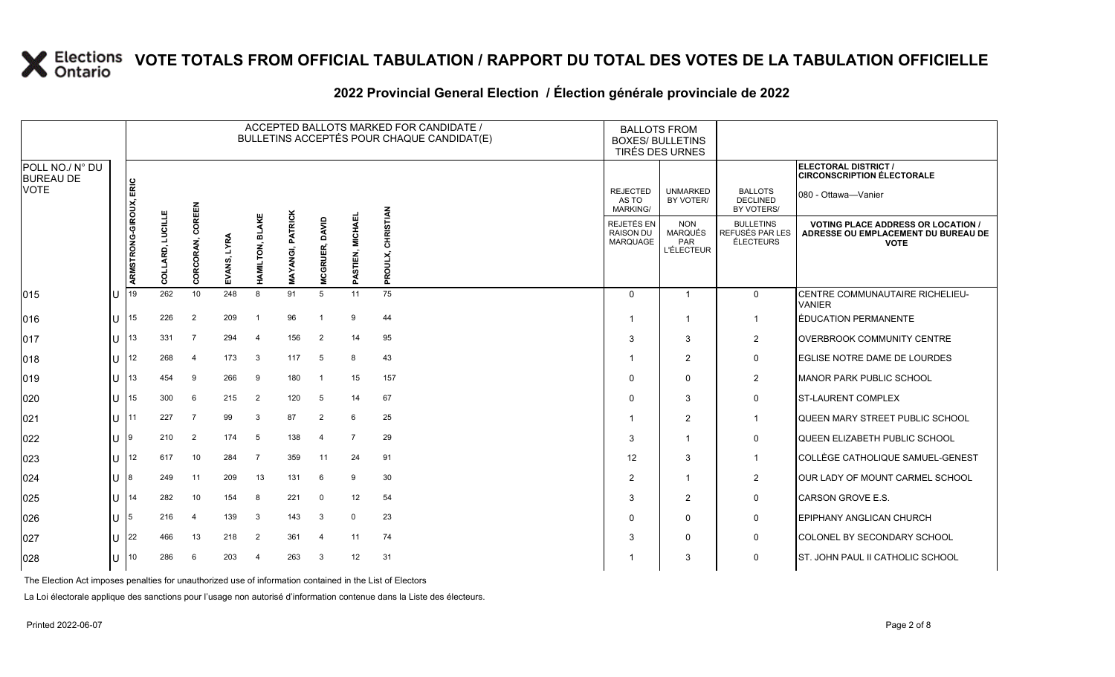#### **2022 Provincial General Election / Élection générale provinciale de 2022**

|                                     |       |                        |                              |                     |             |                           |                                   |                       |                  | ACCEPTED BALLOTS MARKED FOR CANDIDATE /<br>BULLETINS ACCEPTÉS POUR CHAQUE CANDIDAT(E) | <b>BALLOTS FROM</b><br><b>BOXES/ BULLETINS</b><br>TIRÉS DES URNES |                                                          |                                                          |                                                         |                                                                                                |
|-------------------------------------|-------|------------------------|------------------------------|---------------------|-------------|---------------------------|-----------------------------------|-----------------------|------------------|---------------------------------------------------------------------------------------|-------------------------------------------------------------------|----------------------------------------------------------|----------------------------------------------------------|---------------------------------------------------------|------------------------------------------------------------------------------------------------|
| POLL NO./ N° DU<br><b>BUREAU DE</b> |       |                        |                              |                     |             |                           |                                   |                       |                  |                                                                                       |                                                                   |                                                          |                                                          |                                                         | <b>ELECTORAL DISTRICT /</b><br><b>CIRCONSCRIPTION ÉLECTORALE</b>                               |
| <b>VOTE</b>                         |       |                        |                              |                     |             |                           |                                   |                       |                  |                                                                                       |                                                                   | <b>REJECTED</b><br>AS TO<br><b>MARKING/</b>              | <b>UNMARKED</b><br>BY VOTER/                             | <b>BALLOTS</b><br><b>DECLINED</b><br>BY VOTERS/         | 080 - Ottawa-Vanier                                                                            |
|                                     |       | ARMSTRONG-GIROUX, ERIC | <b>LUCILLE</b><br>LARD,<br>g | COREEN<br>CORCORAN, | EVANS, LYRA | <b>BLAKI</b><br>HAMILTON, | <b>PATRICK</b><br><b>MAYANGI,</b> | <b>MCGRUER, DAVID</b> | PASTIEN, MICHAEI | CHRISTIAN<br>PROULX,                                                                  |                                                                   | <b>REJETÉS EN</b><br><b>RAISON DU</b><br><b>MARQUAGE</b> | <b>NON</b><br><b>MARQUÉS</b><br>PAR<br><b>L'ÉLECTEUR</b> | <b>BULLETINS</b><br>REFUSÉS PAR LES<br><b>ÉLECTEURS</b> | <b>VOTING PLACE ADDRESS OR LOCATION.</b><br>ADRESSE OU EMPLACEMENT DU BUREAU DE<br><b>VOTE</b> |
| 015                                 | U     | 19                     | 262                          | 10                  | 248         | 8                         | 91                                | 5                     | 11               | 75                                                                                    |                                                                   | $\Omega$                                                 | $\mathbf 1$                                              | $\mathbf 0$                                             | CENTRE COMMUNAUTAIRE RICHELIEU-<br><b>VANIER</b>                                               |
| 016                                 | U     | 15                     | 226                          | 2                   | 209         |                           | 96                                | $\overline{1}$        | 9                | 44                                                                                    |                                                                   | -1                                                       | -1                                                       | $\mathbf{1}$                                            | <b>ÉDUCATION PERMANENTE</b>                                                                    |
| 017                                 | U     | 13                     | 331                          | $\overline{7}$      | 294         | $\overline{4}$            | 156                               | 2                     | 14               | 95                                                                                    |                                                                   | 3                                                        | 3                                                        | 2                                                       | OVERBROOK COMMUNITY CENTRE                                                                     |
| 018                                 | U     | 12                     | 268                          | $\overline{4}$      | 173         | 3                         | 117                               | 5                     | 8                | 43                                                                                    |                                                                   |                                                          | 2                                                        | 0                                                       | EGLISE NOTRE DAME DE LOURDES                                                                   |
| 019                                 | U     | 113                    | 454                          | 9                   | 266         | 9                         | 180                               | -1                    | 15               | 157                                                                                   |                                                                   | $\Omega$                                                 | $\Omega$                                                 | 2                                                       | MANOR PARK PUBLIC SCHOOL                                                                       |
| 020                                 | U     | 15                     | 300                          | 6                   | 215         | $\overline{2}$            | 120                               | 5                     | 14               | 67                                                                                    |                                                                   | $\Omega$                                                 | 3                                                        | $\mathbf 0$                                             | <b>ST-LAURENT COMPLEX</b>                                                                      |
| 021                                 | U     | 11                     | 227                          | $\overline{7}$      | 99          | 3                         | 87                                | 2                     | 6                | 25                                                                                    |                                                                   |                                                          | $\overline{2}$                                           | $\mathbf{1}$                                            | QUEEN MARY STREET PUBLIC SCHOOL                                                                |
| 022                                 | U     | 19                     | 210                          | 2                   | 174         | 5                         | 138                               | $\overline{4}$        | 7                | 29                                                                                    |                                                                   | 3                                                        |                                                          | $\mathbf 0$                                             | QUEEN ELIZABETH PUBLIC SCHOOL                                                                  |
| 023                                 | U     | 12                     | 617                          | 10                  | 284         | $\overline{7}$            | 359                               | 11                    | 24               | 91                                                                                    |                                                                   | 12                                                       | 3                                                        | $\mathbf{1}$                                            | COLLÈGE CATHOLIQUE SAMUEL-GENEST                                                               |
| 024                                 | U     | 8                      | 249                          | 11                  | 209         | 13                        | 131                               | 6                     | 9                | 30                                                                                    |                                                                   | $\overline{2}$                                           |                                                          | 2                                                       | OUR LADY OF MOUNT CARMEL SCHOOL                                                                |
| 025                                 | U     | 14                     | 282                          | 10                  | 154         | 8                         | 221                               | $\mathbf 0$           | 12               | 54                                                                                    |                                                                   | 3                                                        | 2                                                        | 0                                                       | CARSON GROVE E.S.                                                                              |
| 026                                 | IJ 15 |                        | 216                          | 4                   | 139         | 3                         | 143                               | 3                     | $\Omega$         | 23                                                                                    |                                                                   | $\Omega$                                                 | $\Omega$                                                 | 0                                                       | EPIPHANY ANGLICAN CHURCH                                                                       |
| 027                                 | U     | 22                     | 466                          | 13                  | 218         | $\overline{2}$            | 361                               | $\overline{4}$        | 11               | 74                                                                                    |                                                                   | 3                                                        | $\Omega$                                                 | $\mathbf 0$                                             | COLONEL BY SECONDARY SCHOOL                                                                    |
| 028                                 | U     | 10                     | 286                          | 6                   | 203         | $\overline{4}$            | 263                               | 3                     | 12 <sup>2</sup>  | 31                                                                                    |                                                                   |                                                          | 3                                                        | 0                                                       | ST. JOHN PAUL II CATHOLIC SCHOOL                                                               |

The Election Act imposes penalties for unauthorized use of information contained in the List of Electors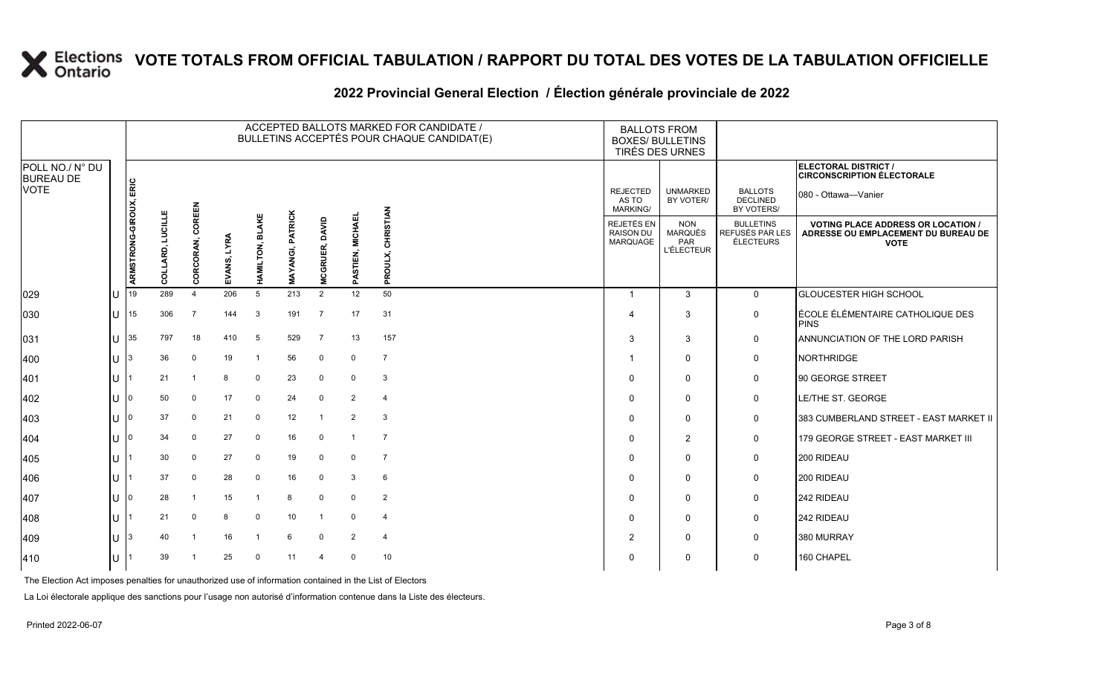#### **2022 Provincial General Election / Élection générale provinciale de 2022**

|                                     |     |                        |                          |                     |                |                           |                            |                |                  | ACCEPTED BALLOTS MARKED FOR CANDIDATE /<br>BULLETINS ACCEPTÉS POUR CHAQUE CANDIDAT(E) |                                             | <b>BALLOTS FROM</b><br><b>BOXES/ BULLETINS</b><br>TIRÉS DES URNES |                                                  |                                                                                                 |
|-------------------------------------|-----|------------------------|--------------------------|---------------------|----------------|---------------------------|----------------------------|----------------|------------------|---------------------------------------------------------------------------------------|---------------------------------------------|-------------------------------------------------------------------|--------------------------------------------------|-------------------------------------------------------------------------------------------------|
| POLL NO./ N° DU<br><b>BUREAU DE</b> |     |                        |                          |                     |                |                           |                            |                |                  |                                                                                       |                                             |                                                                   |                                                  | ELECTORAL DISTRICT /<br><b>CIRCONSCRIPTION ÉLECTORALE</b>                                       |
| VOTE                                |     |                        |                          |                     |                |                           |                            |                |                  |                                                                                       | <b>REJECTED</b><br>AS TO<br><b>MARKING/</b> | <b>UNMARKED</b><br>BY VOTER/                                      | <b>BALLOTS</b><br><b>DECLINED</b><br>BY VOTERS/  | 080 - Ottawa-Vanier                                                                             |
|                                     |     | ARMSTRONG-GIROUX, ERIC | LUCILLE<br>LARD,<br>Lo C | COREEN<br>CORCORAN, | LYRA<br>EVANS, | <b>BLAKE</b><br>HAMILTON, | <b>PATRICK</b><br>MAYANGI, | MCGRUER, DAVID | PASTIEN, MICHAEI | <b>CHRISTIAN</b><br>PROULX,                                                           | REJETÉS EN<br>RAISON DU<br><b>MARQUAGE</b>  | <b>NON</b><br>MARQUÉS<br>PAR<br><b>L'ÉLECTEUR</b>                 | <b>BULLETINS</b><br>REFUSÉS PAR LES<br>ÉLECTEURS | <b>VOTING PLACE ADDRESS OR LOCATION /</b><br>ADRESSE OU EMPLACEMENT DU BUREAU DE<br><b>VOTE</b> |
| 029                                 | IU  | 19                     | 289                      | $\overline{4}$      | 206            | 5                         | 213                        | $\overline{2}$ | 12               | 50                                                                                    | $\overline{1}$                              | 3                                                                 | $\mathbf 0$                                      | <b>GLOUCESTER HIGH SCHOOL</b>                                                                   |
| 030                                 | IU  | 15                     | 306                      | $\overline{7}$      | 144            | $\mathbf{3}$              | 191                        | $\overline{7}$ | 17               | 31                                                                                    | $\overline{4}$                              | 3                                                                 | 0                                                | ÉCOLE ÉLÉMENTAIRE CATHOLIQUE DES<br><b>PINS</b>                                                 |
| 031                                 | ΠT  | 35                     | 797                      | 18                  | 410            | 5                         | 529                        | $\overline{7}$ | 13               | 157                                                                                   | 3                                           | 3                                                                 | 0                                                | ANNUNCIATION OF THE LORD PARISH                                                                 |
| 400                                 | IU. | 3                      | 36                       | $\mathbf 0$         | 19             | $\mathbf{1}$              | 56                         | 0              | $\mathbf 0$      | $\overline{7}$                                                                        |                                             | 0                                                                 | 0                                                | <b>NORTHRIDGE</b>                                                                               |
| 401                                 | IU  |                        | 21                       | -1                  | 8              | $\mathbf 0$               | 23                         | 0              | 0                | -3                                                                                    | $\mathbf 0$                                 | 0                                                                 | 0                                                | 90 GEORGE STREET                                                                                |
| 402                                 | ΠT  |                        | 50                       | $\Omega$            | 17             | 0                         | 24                         | 0              | $\overline{2}$   | 4                                                                                     | 0                                           | $\Omega$                                                          | 0                                                | LE/THE ST. GEORGE                                                                               |
| 403                                 | IU  | 0                      | 37                       | $\mathbf 0$         | 21             | $\mathbf 0$               | 12                         | $\mathbf{1}$   | $\overline{2}$   | 3                                                                                     | $\mathbf 0$                                 | 0                                                                 | 0                                                | 383 CUMBERLAND STREET - EAST MARKET II                                                          |
| 404                                 | IU  | 0                      | 34                       | $\mathbf 0$         | 27             | $\mathbf 0$               | 16                         | $\mathbf 0$    |                  | 7                                                                                     | 0                                           | $\overline{2}$                                                    | 0                                                | 179 GEORGE STREET - EAST MARKET III                                                             |
| 405                                 | ΠT  |                        | 30                       | $\mathbf 0$         | 27             | $\Omega$                  | 19                         | $\mathbf 0$    | $\mathbf 0$      | $\overline{7}$                                                                        | 0                                           | $\Omega$                                                          | 0                                                | 200 RIDEAU                                                                                      |
| 406                                 | IU  |                        | 37                       | $\mathbf 0$         | 28             | $\Omega$                  | 16                         | $\mathbf 0$    | 3                | 6                                                                                     | $\mathbf 0$                                 | 0                                                                 | 0                                                | 200 RIDEAU                                                                                      |
| 407                                 | IU  | N                      | 28                       | -1                  | 15             | -1                        | 8                          | 0              | 0                | 2                                                                                     | 0                                           | 0                                                                 | 0                                                | 242 RIDEAU                                                                                      |
| 408                                 | ΠT  |                        | 21                       | $\mathbf 0$         | 8              | $\mathbf 0$               | 10                         | -1             | 0                | 4                                                                                     | $\mathbf 0$                                 | 0                                                                 | 0                                                | 242 RIDEAU                                                                                      |
| 409                                 | IU. | 3                      | 40                       | -1                  | 16             | $\mathbf{1}$              | 6                          | $\mathbf 0$    | $\overline{2}$   | $\overline{4}$                                                                        | $\overline{2}$                              | 0                                                                 | 0                                                | 380 MURRAY                                                                                      |
| 410                                 | IU  |                        | 39                       |                     | 25             | $\Omega$                  | 11                         | 4              | $\mathbf 0$      | 10                                                                                    | 0                                           | 0                                                                 | 0                                                | 160 CHAPEL                                                                                      |

The Election Act imposes penalties for unauthorized use of information contained in the List of Electors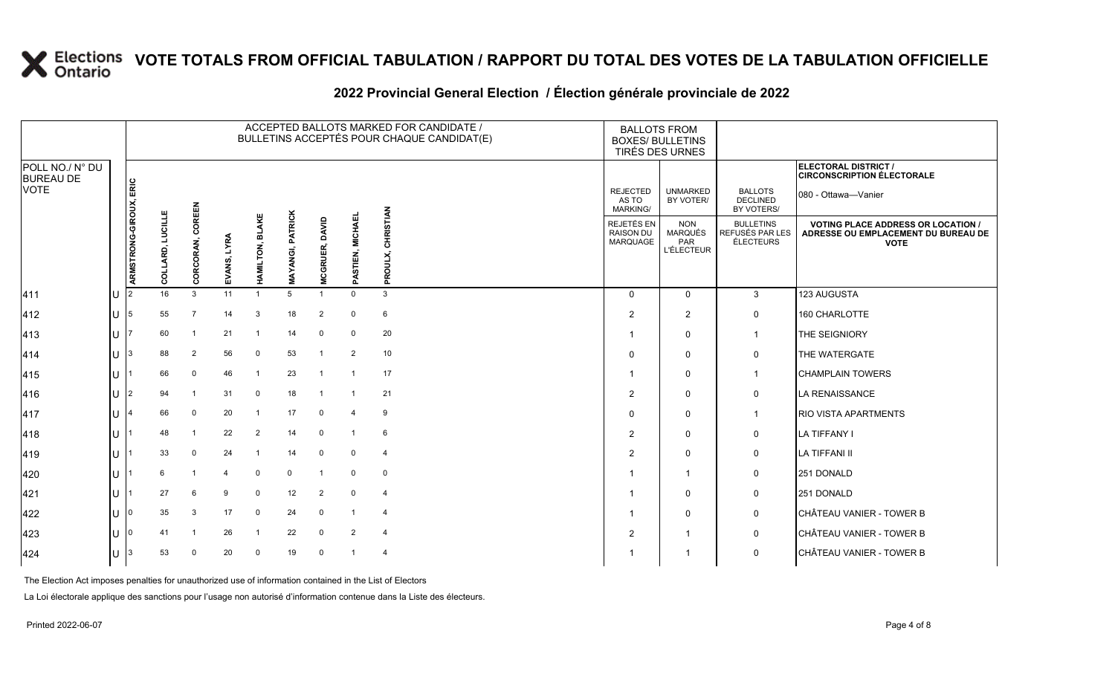#### **2022 Provincial General Election / Élection générale provinciale de 2022**

|                                     |   |                        |                            |                     |             |                 |                            |                       |                  | ACCEPTED BALLOTS MARKED FOR CANDIDATE /<br>BULLETINS ACCEPTÉS POUR CHAQUE CANDIDAT(E) | <b>BALLOTS FROM</b><br><b>BOXES/ BULLETINS</b><br>TIRÉS DES URNES |                                            |                                                          |                                                  |                                                                                                 |
|-------------------------------------|---|------------------------|----------------------------|---------------------|-------------|-----------------|----------------------------|-----------------------|------------------|---------------------------------------------------------------------------------------|-------------------------------------------------------------------|--------------------------------------------|----------------------------------------------------------|--------------------------------------------------|-------------------------------------------------------------------------------------------------|
| POLL NO./ N° DU<br><b>BUREAU DE</b> |   |                        |                            |                     |             |                 |                            |                       |                  |                                                                                       |                                                                   |                                            |                                                          |                                                  | ELECTORAL DISTRICT /<br><b>CIRCONSCRIPTION ÉLECTORALE</b>                                       |
| <b>VOTE</b>                         |   |                        |                            |                     |             |                 |                            |                       |                  |                                                                                       |                                                                   | <b>REJECTED</b><br>AS TO<br>MARKING/       | <b>UNMARKED</b><br>BY VOTER/                             | <b>BALLOTS</b><br><b>DECLINED</b><br>BY VOTERS/  | 080 - Ottawa-Vanier                                                                             |
|                                     |   | ARMSTRONG-GIROUX, ERIC | <b>LUCILLE</b><br>COLLARD, | COREEN<br>CORCORAN, | EVANS, LYRA | HAMILTON, BLAKE | <b>PATRICK</b><br>MAYANGI, | <b>MCGRUER, DAVID</b> | PASTIEN, MICHAEI | <b>CHRISTIAN</b><br>PROULX,                                                           |                                                                   | REJETÉS EN<br><b>RAISON DU</b><br>MARQUAGE | <b>NON</b><br><b>MARQUÉS</b><br>PAR<br><b>L'ÉLECTEUR</b> | <b>BULLETINS</b><br>REFUSÉS PAR LES<br>ÉLECTEURS | <b>VOTING PLACE ADDRESS OR LOCATION /</b><br>ADRESSE OU EMPLACEMENT DU BUREAU DE<br><b>VOTE</b> |
| 411                                 |   |                        | 16                         | $\mathbf{3}$        | 11          | $\mathbf{1}$    | 5                          |                       | $\Omega$         | $\mathbf{3}$                                                                          |                                                                   | $\Omega$                                   | $\mathbf{0}$                                             | 3                                                | 123 AUGUSTA                                                                                     |
| 412                                 | U | 5                      | 55                         | $\overline{7}$      | 14          | 3               | 18                         | $\overline{2}$        | $\mathbf 0$      | 6                                                                                     |                                                                   | $\overline{2}$                             | 2                                                        | 0                                                | 160 CHARLOTTE                                                                                   |
| 413                                 |   |                        | 60                         |                     | 21          | -1              | 14                         | $\mathbf 0$           | $\Omega$         | 20                                                                                    |                                                                   |                                            | $\mathbf 0$                                              | $\mathbf{1}$                                     | THE SEIGNIORY                                                                                   |
| 414                                 |   |                        | 88                         | $\overline{2}$      | 56          | $\mathbf 0$     | 53                         | $\overline{1}$        | $\overline{2}$   | 10                                                                                    |                                                                   | $\Omega$                                   | $\mathbf 0$                                              | 0                                                | <b>THE WATERGATE</b>                                                                            |
| 415                                 | U |                        | 66                         | $\mathbf 0$         | 46          | -1              | 23                         | $\overline{1}$        |                  | 17                                                                                    |                                                                   |                                            | $\mathbf 0$                                              | $\mathbf{1}$                                     | <b>CHAMPLAIN TOWERS</b>                                                                         |
| 416                                 |   |                        | 94                         |                     | 31          | $\mathbf 0$     | 18                         |                       |                  | 21                                                                                    |                                                                   | $\overline{2}$                             | $\mathbf 0$                                              | 0                                                | LA RENAISSANCE                                                                                  |
| 417                                 |   |                        | 66                         | $\mathbf 0$         | 20          | $\overline{1}$  | 17                         | $\mathbf 0$           | $\overline{4}$   | 9                                                                                     |                                                                   | 0                                          | $\mathbf{0}$                                             | $\mathbf{1}$                                     | <b>RIO VISTA APARTMENTS</b>                                                                     |
| 418                                 |   |                        | 48                         |                     | 22          | $\overline{2}$  | 14                         | $\mathbf 0$           |                  | 6                                                                                     |                                                                   | $\overline{2}$                             | $\mathbf{0}$                                             | 0                                                | <b>LA TIFFANY I</b>                                                                             |
| 419                                 |   |                        | 33                         | $\mathbf 0$         | 24          |                 | 14                         | $\mathbf 0$           | $\Omega$         | $\overline{4}$                                                                        |                                                                   | $\overline{2}$                             | $\mathbf{0}$                                             | 0                                                | <b>LA TIFFANI II</b>                                                                            |
| 420                                 |   |                        | 6                          |                     | 4           | $\mathbf 0$     | $\mathbf{0}$               | -1                    | $\mathbf 0$      | $\mathbf 0$                                                                           |                                                                   |                                            | $\mathbf{1}$                                             | 0                                                | 251 DONALD                                                                                      |
| 421                                 |   |                        | 27                         | 6                   | 9           | 0               | 12                         | $\overline{2}$        | $\mathbf 0$      | $\overline{4}$                                                                        |                                                                   |                                            | $\mathbf 0$                                              | 0                                                | 251 DONALD                                                                                      |
| 422                                 |   |                        | 35                         | 3                   | 17          | $\mathbf 0$     | 24                         | $\mathbf 0$           |                  | $\overline{4}$                                                                        |                                                                   | 1                                          | $\mathbf 0$                                              | 0                                                | CHÂTEAU VANIER - TOWER B                                                                        |
| 423                                 |   |                        | 41                         |                     | 26          | - 1             | 22                         | $\mathbf 0$           | $\overline{2}$   | $\overline{4}$                                                                        |                                                                   | $\overline{2}$                             | $\overline{1}$                                           | 0                                                | CHÂTEAU VANIER - TOWER B                                                                        |
| 424                                 |   |                        | 53                         | $\Omega$            | 20          | $\mathbf 0$     | 19                         | $\overline{0}$        | $\overline{1}$   | $\overline{4}$                                                                        |                                                                   |                                            | 1                                                        | $\mathbf 0$                                      | <b>I</b> CHÂTEAU VANIER - TOWER B                                                               |

The Election Act imposes penalties for unauthorized use of information contained in the List of Electors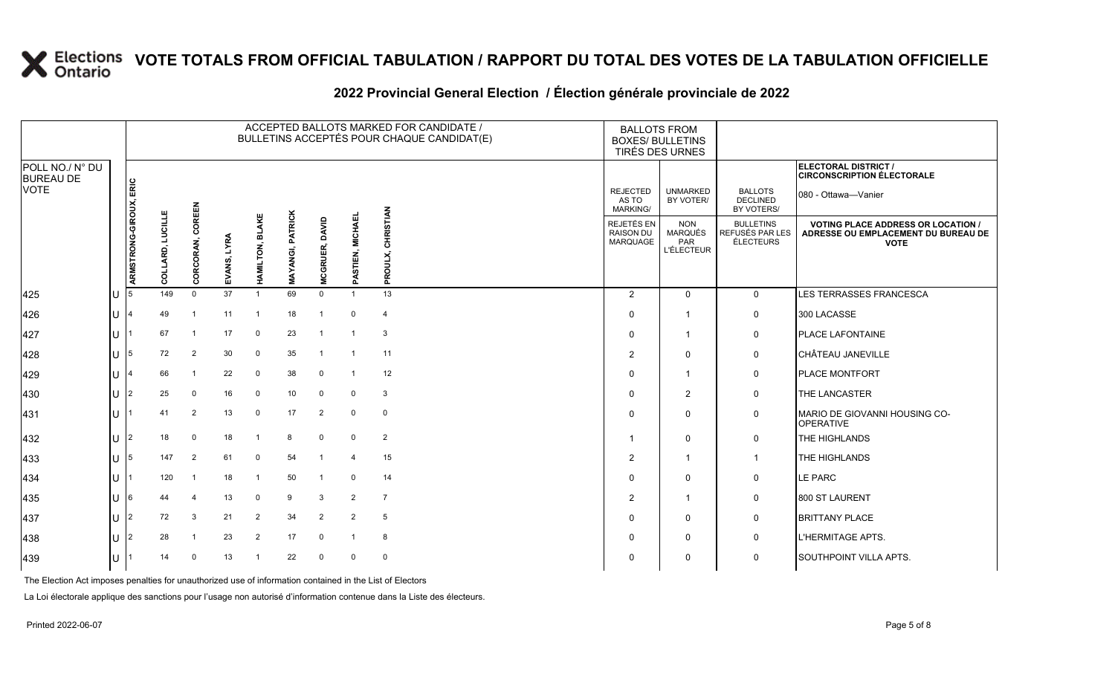#### **2022 Provincial General Election / Élection générale provinciale de 2022**

|                                     |     |                        |                          |                  |             |                 |                  |                    |                  | ACCEPTED BALLOTS MARKED FOR CANDIDATE /<br>BULLETINS ACCEPTÉS POUR CHAQUE CANDIDAT(E) | <b>BALLOTS FROM</b><br><b>BOXES/ BULLETINS</b><br>TIRÉS DES URNES |                                             |                                                          |                                                  |                                                                                                 |
|-------------------------------------|-----|------------------------|--------------------------|------------------|-------------|-----------------|------------------|--------------------|------------------|---------------------------------------------------------------------------------------|-------------------------------------------------------------------|---------------------------------------------|----------------------------------------------------------|--------------------------------------------------|-------------------------------------------------------------------------------------------------|
| POLL NO./ N° DU<br><b>BUREAU DE</b> |     |                        |                          |                  |             |                 |                  |                    |                  |                                                                                       |                                                                   |                                             |                                                          |                                                  | ELECTORAL DISTRICT /<br><b>CIRCONSCRIPTION ÉLECTORALE</b>                                       |
| <b>VOTE</b>                         |     |                        |                          |                  |             |                 |                  |                    |                  |                                                                                       |                                                                   | <b>REJECTED</b><br>AS TO<br><b>MARKING/</b> | <b>UNMARKED</b><br>BY VOTER/                             | <b>BALLOTS</b><br><b>DECLINED</b><br>BY VOTERS/  | 080 - Ottawa-Vanier                                                                             |
|                                     |     | ARMSTRONG-GIROUX, ERIC | <b>TOCITTE</b><br>ቒ<br>g | CORCORAN, COREEN | EVANS, LYRA | HAMILTON, BLAKE | MAYANGI, PATRICK | GRUER, DAVID<br>Ž. | PASTIEN, MICHAEI | CHRISTIAN<br>PROULX,                                                                  |                                                                   | REJETÉS EN<br><b>RAISON DU</b><br>MARQUAGE  | <b>NON</b><br><b>MARQUÉS</b><br>PAR<br><b>L'ÉLECTEUR</b> | <b>BULLETINS</b><br>REFUSÉS PAR LES<br>ÉLECTEURS | <b>VOTING PLACE ADDRESS OR LOCATION /</b><br>ADRESSE OU EMPLACEMENT DU BUREAU DE<br><b>VOTE</b> |
| 425                                 | IU  | 15                     | 149                      | $\mathbf 0$      | 37          | $\overline{1}$  | 69               | $\Omega$           |                  | 13                                                                                    |                                                                   | $\overline{2}$                              | $\mathbf 0$                                              | $\mathbf 0$                                      | LES TERRASSES FRANCESCA                                                                         |
| 426                                 | IU. |                        | 49                       |                  | 11          | $\overline{1}$  | 18               | -1                 | $\Omega$         | 4                                                                                     |                                                                   | $\Omega$                                    | $\overline{\mathbf{1}}$                                  | 0                                                | 300 LACASSE                                                                                     |
| 427                                 | lU. |                        | 67                       |                  | 17          | $\mathbf 0$     | 23               |                    |                  | 3                                                                                     |                                                                   | $\Omega$                                    | $\mathbf{1}$                                             | 0                                                | <b>PLACE LAFONTAINE</b>                                                                         |
| 428                                 | lU. | 15                     | 72                       | $\overline{2}$   | 30          | $\mathbf 0$     | 35               | $\overline{1}$     |                  | 11                                                                                    |                                                                   | $\overline{2}$                              | 0                                                        | 0                                                | CHÂTEAU JANEVILLE                                                                               |
| 429                                 | IU. |                        | 66                       |                  | 22          | 0               | 38               | 0                  | -1               | 12                                                                                    |                                                                   | $\Omega$                                    | $\overline{\mathbf{1}}$                                  | 0                                                | <b>PLACE MONTFORT</b>                                                                           |
| 430                                 | ΙU  | 12                     | 25                       | $\mathbf 0$      | 16          | $\mathbf 0$     | 10               | $\mathbf 0$        | $\Omega$         | 3                                                                                     |                                                                   | $\Omega$                                    | $\overline{2}$                                           | $\mathbf 0$                                      | THE LANCASTER                                                                                   |
| 431                                 | lU. |                        | 41                       | $\overline{2}$   | 13          | $\mathbf 0$     | 17               | $\overline{2}$     | $\mathbf 0$      | $\pmb{0}$                                                                             |                                                                   | $\Omega$                                    | $\mathbf 0$                                              | 0                                                | MARIO DE GIOVANNI HOUSING CO-<br><b>OPERATIVE</b>                                               |
| 432                                 | IU. | 12                     | 18                       | $\mathbf 0$      | 18          | -1              | 8                | $\mathbf 0$        | $\mathbf 0$      | $\overline{2}$                                                                        |                                                                   |                                             | $\mathbf 0$                                              | 0                                                | THE HIGHLANDS                                                                                   |
| 433                                 | ΙU  | 15                     | 147                      | $\overline{2}$   | 61          | $\mathbf 0$     | 54               |                    | $\overline{4}$   | 15                                                                                    |                                                                   | $\overline{2}$                              | $\overline{\mathbf{1}}$                                  | $\mathbf{1}$                                     | THE HIGHLANDS                                                                                   |
| 434                                 | lU. |                        | 120                      |                  | 18          | $\overline{1}$  | 50               | $\overline{1}$     | $\Omega$         | 14                                                                                    |                                                                   | $\Omega$                                    | $\mathbf 0$                                              | 0                                                | LE PARC                                                                                         |
| 435                                 | IU. | 16.                    | 44                       | $\overline{4}$   | 13          | 0               | 9                | 3                  | 2                | $\overline{7}$                                                                        |                                                                   | $\overline{2}$                              | $\overline{1}$                                           | 0                                                | 800 ST LAURENT                                                                                  |
| 437                                 | ΙU  | 12                     | 72                       | 3                | 21          | $\overline{2}$  | 34               | $\overline{2}$     | 2                | $\sqrt{5}$                                                                            |                                                                   | $\Omega$                                    | 0                                                        | 0                                                | <b>BRITTANY PLACE</b>                                                                           |
| 438                                 | IU. | l2                     | 28                       |                  | 23          | $\overline{2}$  | 17               | $\mathbf 0$        | -1               | 8                                                                                     |                                                                   | $\Omega$                                    | $\mathbf 0$                                              | 0                                                | L'HERMITAGE APTS.                                                                               |
| 439                                 | ΙU  |                        | 14                       | $\mathbf 0$      | 13          | -1              | 22               | $\mathbf 0$        | $\Omega$         | $\mathbf 0$                                                                           |                                                                   | 0                                           | 0                                                        | 0                                                | SOUTHPOINT VILLA APTS.                                                                          |

The Election Act imposes penalties for unauthorized use of information contained in the List of Electors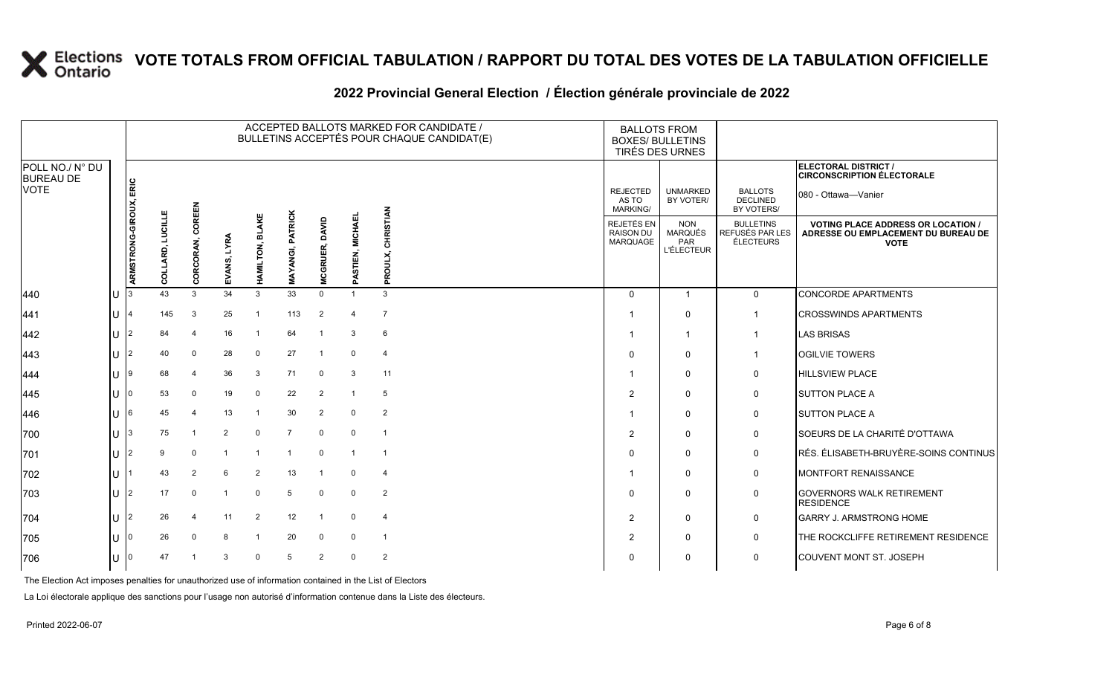#### **2022 Provincial General Election / Élection générale provinciale de 2022**

|                                     |              | ACCEPTED BALLOTS MARKED FOR CANDIDATE /<br>BULLETINS ACCEPTÉS POUR CHAQUE CANDIDAT(E) |                  |                  |                |                |                            |                          |                      |                                | <b>BALLOTS FROM</b><br><b>BOXES/ BULLETINS</b><br>TIRÉS DES URNES |                                                   |                                                  |                                                                                                 |
|-------------------------------------|--------------|---------------------------------------------------------------------------------------|------------------|------------------|----------------|----------------|----------------------------|--------------------------|----------------------|--------------------------------|-------------------------------------------------------------------|---------------------------------------------------|--------------------------------------------------|-------------------------------------------------------------------------------------------------|
| POLL NO./ N° DU<br><b>BUREAU DE</b> |              |                                                                                       |                  |                  |                |                |                            |                          |                      |                                |                                                                   |                                                   |                                                  | ELECTORAL DISTRICT /<br><b>CIRCONSCRIPTION ÉLECTORALE</b>                                       |
| <b>VOTE</b>                         |              |                                                                                       |                  |                  |                |                |                            |                          |                      |                                | <b>REJECTED</b><br>AS TO<br>MARKING/                              | <b>UNMARKED</b><br>BY VOTER/                      | <b>BALLOTS</b><br><b>DECLINED</b><br>BY VOTERS/  | 080 - Ottawa-Vanier                                                                             |
|                                     |              | ARMSTRONG-GIROUX, ERIC                                                                | COLLARD, LUCILLE | CORCORAN, COREEN | LYRA<br>EVANS, | ᆱ<br>HAMILTON, | <b>PATRICK</b><br>MAYANGI, | DAVID<br><b>MCGRUER,</b> | ASTIEN, MICHAEL<br>n | <b>RISTIAN</b><br>동<br>PROULX, | REJETÉS EN<br><b>RAISON DU</b><br><b>MARQUAGE</b>                 | <b>NON</b><br>MARQUÉS<br>PAR<br><b>L'ÉLECTEUR</b> | <b>BULLETINS</b><br>REFUSÉS PAR LES<br>ÉLECTEURS | <b>VOTING PLACE ADDRESS OR LOCATION /</b><br>ADRESSE OU EMPLACEMENT DU BUREAU DE<br><b>VOTE</b> |
| 440                                 |              |                                                                                       | 43               | 3                | 34             | 3              | 33                         | $\Omega$                 |                      | $\mathbf{3}$                   | $\Omega$                                                          | $\overline{1}$                                    | $\mathbf 0$                                      | <b>CONCORDE APARTMENTS</b>                                                                      |
| 441                                 | U            |                                                                                       | 145              | 3                | 25             | $\mathbf 1$    | 113                        | 2                        | $\overline{4}$       | $\overline{7}$                 |                                                                   | 0                                                 | $\overline{1}$                                   | <b>CROSSWINDS APARTMENTS</b>                                                                    |
| 442                                 | $\mathbf{U}$ |                                                                                       | 84               | 4                | 16             |                | 64                         |                          | 3                    | 6                              | -1                                                                | -1                                                | $\mathbf{1}$                                     | <b>LAS BRISAS</b>                                                                               |
| 443                                 | U            | $\overline{2}$                                                                        | 40               | $\mathbf 0$      | 28             | $\mathbf 0$    | 27                         | -1                       | $\mathbf 0$          | $\overline{4}$                 | $\Omega$                                                          | $\mathbf 0$                                       | $\mathbf{1}$                                     | <b>OGILVIE TOWERS</b>                                                                           |
| 444                                 | U            | 9                                                                                     | 68               | 4                | 36             | 3              | 71                         | $\mathbf 0$              | 3                    | 11                             | -1                                                                | 0                                                 | 0                                                | <b>HILLSVIEW PLACE</b>                                                                          |
| 445                                 | U            |                                                                                       | 53               | $\Omega$         | 19             | $\mathbf 0$    | 22                         | 2                        |                      | 5                              | $\overline{2}$                                                    | $\Omega$                                          | 0                                                | <b>SUTTON PLACE A</b>                                                                           |
| 446                                 | $\cup$       | 6                                                                                     | 45               | 4                | 13             | -1             | 30                         | $\overline{2}$           | $\mathbf 0$          | $\overline{2}$                 | -1                                                                | $\mathbf 0$                                       | 0                                                | <b>SUTTON PLACE A</b>                                                                           |
| 700                                 | $\mathbf{H}$ | 3                                                                                     | 75               |                  | $\overline{2}$ | $\mathbf 0$    | $\overline{7}$             | $\mathbf 0$              | $\mathbf 0$          |                                | $\overline{2}$                                                    | $\Omega$                                          | 0                                                | SOEURS DE LA CHARITÉ D'OTTAWA                                                                   |
| 701                                 | U            |                                                                                       |                  | $\Omega$         |                |                |                            | $\mathbf 0$              |                      |                                | $\Omega$                                                          | $\Omega$                                          | 0                                                | RÉS. ÉLISABETH-BRUYÈRE-SOINS CONTINUS                                                           |
| 702                                 | $\mathbf{U}$ |                                                                                       | 43               | 2                | 6              | $\overline{2}$ | 13                         | $\overline{\mathbf{1}}$  | $\Omega$             | 4                              |                                                                   | $\mathbf 0$                                       | 0                                                | MONTFORT RENAISSANCE                                                                            |
| 703                                 | $\mathbf{U}$ | $\overline{2}$                                                                        | 17               | $\Omega$         |                | $\Omega$       | 5                          | $\mathbf 0$              | $\Omega$             | 2                              | $\Omega$                                                          | 0                                                 | 0                                                | <b>GOVERNORS WALK RETIREMENT</b><br><b>RESIDENCE</b>                                            |
| 704                                 | U            | 2                                                                                     | 26               |                  | 11             | $\overline{2}$ | 12                         |                          | $\mathbf 0$          | $\overline{4}$                 | $\overline{2}$                                                    | $\Omega$                                          | 0                                                | <b>GARRY J. ARMSTRONG HOME</b>                                                                  |
| 705                                 | $\mathbf{U}$ |                                                                                       | 26               | $\Omega$         | 8              | $\mathbf 1$    | 20                         | $\mathbf 0$              | $\Omega$             |                                | $\overline{2}$                                                    | $\Omega$                                          | 0                                                | THE ROCKCLIFFE RETIREMENT RESIDENCE                                                             |
| 706                                 | U            |                                                                                       | 47               |                  | 3              | $\Omega$       | 5                          | 2                        | $\Omega$             | $\overline{2}$                 | $\Omega$                                                          | 0                                                 | 0                                                | <b>COUVENT MONT ST. JOSEPH</b>                                                                  |

The Election Act imposes penalties for unauthorized use of information contained in the List of Electors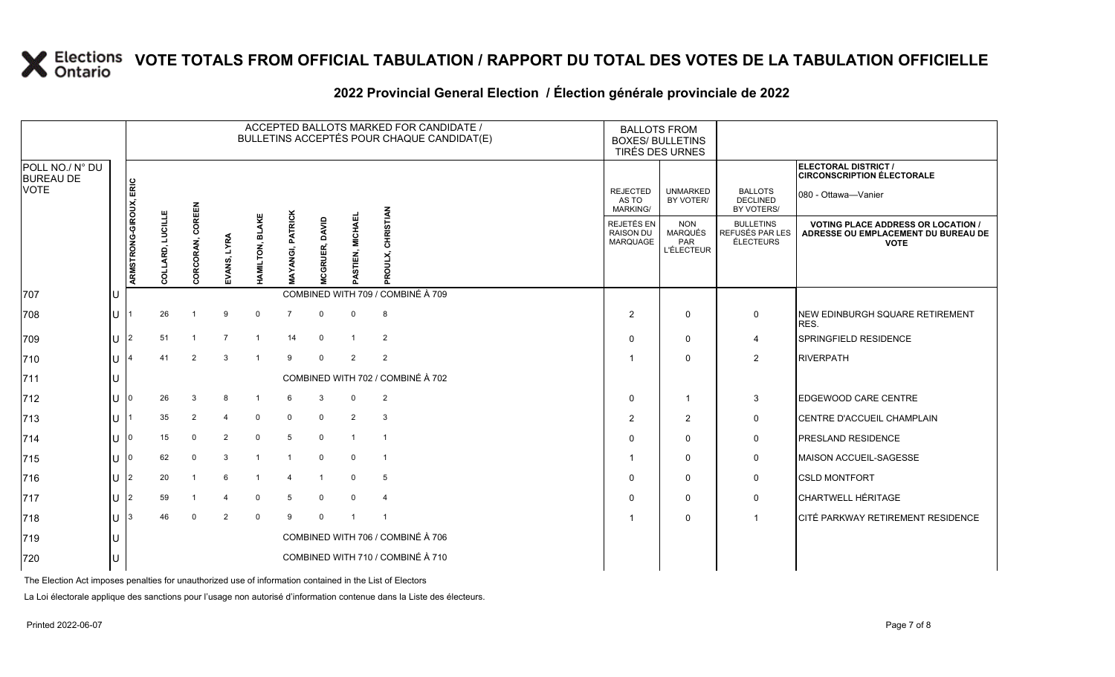|                                     |     |                        |                |                  |                |                 |                                    |                       |                 |                                   | ACCEPTED BALLOTS MARKED FOR CANDIDATE /<br>BULLETINS ACCEPTÉS POUR CHAQUE CANDIDAT(E) | <b>BALLOTS FROM</b><br><b>BOXES/ BULLETINS</b> | TIRÉS DES URNES                                          |                                                         |                                                                                                 |
|-------------------------------------|-----|------------------------|----------------|------------------|----------------|-----------------|------------------------------------|-----------------------|-----------------|-----------------------------------|---------------------------------------------------------------------------------------|------------------------------------------------|----------------------------------------------------------|---------------------------------------------------------|-------------------------------------------------------------------------------------------------|
| POLL NO./ N° DU<br><b>BUREAU DE</b> |     |                        |                |                  |                |                 |                                    |                       |                 |                                   |                                                                                       |                                                |                                                          |                                                         | ELECTORAL DISTRICT /<br><b>CIRCONSCRIPTION ÉLECTORALE</b>                                       |
| <b>VOTE</b>                         |     |                        |                |                  |                |                 |                                    |                       |                 |                                   |                                                                                       | <b>REJECTED</b><br>AS TO<br>MARKING/           | <b>UNMARKED</b><br>BY VOTER/                             | <b>BALLOTS</b><br><b>DECLINED</b><br>BY VOTERS/         | 080 - Ottawa-Vanier                                                                             |
|                                     |     | ARMSTRONG-GIROUX, ERIC | <b>LUCILLE</b> | CORCORAN, COREEN | LYRA<br>EVANS, | HAMILTON, BLAKE | <b>PATRICK</b><br><b>VIAYANGI,</b> | <b>MCGRUER, DAVID</b> | ASTIEN, MICHAEL | CHRISTIAN<br>PROUL                |                                                                                       | REJETÉS EN<br><b>RAISON DU</b><br>MARQUAGE     | <b>NON</b><br><b>MARQUÉS</b><br>PAR<br><b>L'ÉLECTEUR</b> | <b>BULLETINS</b><br>REFUSÉS PAR LES<br><b>ÉLECTEURS</b> | <b>VOTING PLACE ADDRESS OR LOCATION /</b><br>ADRESSE OU EMPLACEMENT DU BUREAU DE<br><b>VOTE</b> |
| 707                                 | IU  |                        |                |                  |                |                 |                                    |                       |                 | COMBINED WITH 709 / COMBINÉ À 709 |                                                                                       |                                                |                                                          |                                                         |                                                                                                 |
| 708                                 | IU  |                        | 26             |                  | 9              | $\mathbf 0$     | $\overline{7}$                     | $\mathbf 0$           | $\mathbf 0$     | 8                                 |                                                                                       | 2                                              | $\mathbf 0$                                              | 0                                                       | NEW EDINBURGH SQUARE RETIREMENT<br>RES.                                                         |
| 709                                 | IU  | I2                     | 51             | $\overline{1}$   | $\overline{7}$ |                 | 14                                 | $\mathbf 0$           |                 | 2                                 |                                                                                       | $\Omega$                                       | $\mathbf 0$                                              | 4                                                       | <b>SPRINGFIELD RESIDENCE</b>                                                                    |
| 710                                 | IU  |                        | 41             | 2                | 3              |                 | 9                                  | $\Omega$              | 2               | $\overline{2}$                    |                                                                                       | -1                                             | $\Omega$                                                 | $\overline{2}$                                          | <b>RIVERPATH</b>                                                                                |
| 711                                 | IU  |                        |                |                  |                |                 |                                    |                       |                 | COMBINED WITH 702 / COMBINÉ À 702 |                                                                                       |                                                |                                                          |                                                         |                                                                                                 |
| 712                                 | IU  |                        | 26             | 3                | 8              |                 | 6                                  | 3                     | 0               | 2                                 |                                                                                       | $\Omega$                                       | $\overline{\mathbf{1}}$                                  | 3                                                       | <b>EDGEWOOD CARE CENTRE</b>                                                                     |
| 713                                 | IU. |                        | 35             | 2                | $\overline{4}$ | $\mathbf 0$     | $\overline{0}$                     | $\mathbf 0$           | 2               | 3                                 |                                                                                       | 2                                              | 2                                                        | 0                                                       | CENTRE D'ACCUEIL CHAMPLAIN                                                                      |
| 714                                 | IU  | 10                     | 15             | $\mathbf 0$      | $\overline{2}$ | $\mathbf 0$     | 5                                  | $\mathbf 0$           |                 | $\overline{1}$                    |                                                                                       | $\Omega$                                       | $\Omega$                                                 | 0                                                       | <b>PRESLAND RESIDENCE</b>                                                                       |
| 715                                 | ΙU  |                        | 62             | $\mathbf 0$      | 3              |                 |                                    | $\mathbf 0$           | $\mathbf 0$     | $\overline{1}$                    |                                                                                       | -1                                             | $\Omega$                                                 | 0                                                       | <b>MAISON ACCUEIL-SAGESSE</b>                                                                   |
| 716                                 | IU  | I2                     | 20             | $\overline{1}$   | 6              |                 | $\overline{\mathbf{4}}$            |                       | $\mathbf 0$     | 5                                 |                                                                                       | $\mathbf{0}$                                   | $\mathbf 0$                                              | 0                                                       | <b>CSLD MONTFORT</b>                                                                            |
| 717                                 | IU. | $\mathsf{I}2$          | 59             | -1               | $\overline{4}$ | $\mathbf 0$     | 5                                  | $\mathbf 0$           | $\mathbf 0$     | $\overline{4}$                    |                                                                                       | $\mathbf{0}$                                   | $\mathbf 0$                                              | $\mathbf 0$                                             | <b>CHARTWELL HÉRITAGE</b>                                                                       |
| 718                                 | ΙU  | 13                     | 46             | $\mathbf 0$      | $\overline{2}$ | $\mathbf 0$     | 9                                  | $\mathbf 0$           | -1              | $\overline{1}$                    |                                                                                       | -1                                             | $\Omega$                                                 | $\overline{1}$                                          | CITÉ PARKWAY RETIREMENT RESIDENCE                                                               |
| 719                                 | IU  |                        |                |                  |                |                 |                                    |                       |                 | COMBINED WITH 706 / COMBINÉ À 706 |                                                                                       |                                                |                                                          |                                                         |                                                                                                 |
| 720                                 | Iυ  |                        |                |                  |                |                 |                                    |                       |                 | COMBINED WITH 710 / COMBINÉ À 710 |                                                                                       |                                                |                                                          |                                                         |                                                                                                 |
|                                     |     |                        |                |                  |                |                 |                                    |                       |                 |                                   |                                                                                       |                                                |                                                          |                                                         |                                                                                                 |

#### **2022 Provincial General Election / Élection générale provinciale de 2022**

The Election Act imposes penalties for unauthorized use of information contained in the List of Electors